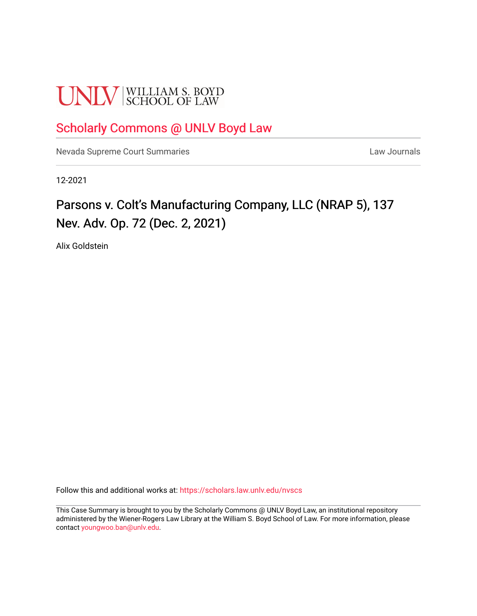# **UNLV** SCHOOL OF LAW

### [Scholarly Commons @ UNLV Boyd Law](https://scholars.law.unlv.edu/)

[Nevada Supreme Court Summaries](https://scholars.law.unlv.edu/nvscs) **Law Journals** Law Journals

12-2021

## Parsons v. Colt's Manufacturing Company, LLC (NRAP 5), 137 Nev. Adv. Op. 72 (Dec. 2, 2021)

Alix Goldstein

Follow this and additional works at: [https://scholars.law.unlv.edu/nvscs](https://scholars.law.unlv.edu/nvscs?utm_source=scholars.law.unlv.edu%2Fnvscs%2F1459&utm_medium=PDF&utm_campaign=PDFCoverPages)

This Case Summary is brought to you by the Scholarly Commons @ UNLV Boyd Law, an institutional repository administered by the Wiener-Rogers Law Library at the William S. Boyd School of Law. For more information, please contact [youngwoo.ban@unlv.edu](mailto:youngwoo.ban@unlv.edu).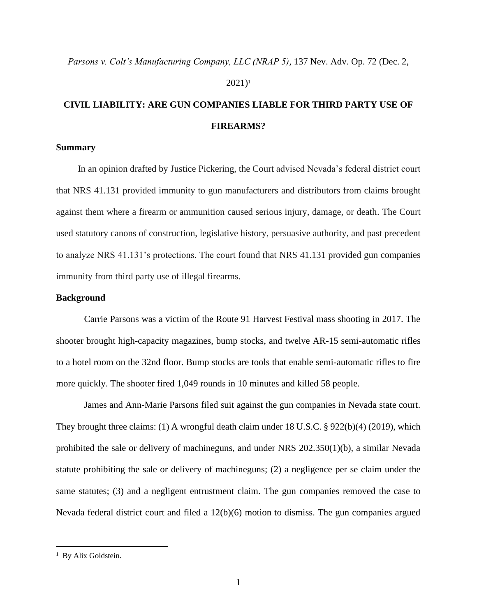#### $2021$ <sup>1</sup>

### **CIVIL LIABILITY: ARE GUN COMPANIES LIABLE FOR THIRD PARTY USE OF FIREARMS?**

### **Summary**

In an opinion drafted by Justice Pickering, the Court advised Nevada's federal district court that NRS 41.131 provided immunity to gun manufacturers and distributors from claims brought against them where a firearm or ammunition caused serious injury, damage, or death. The Court used statutory canons of construction, legislative history, persuasive authority, and past precedent to analyze NRS 41.131's protections. The court found that NRS 41.131 provided gun companies immunity from third party use of illegal firearms.

### **Background**

Carrie Parsons was a victim of the Route 91 Harvest Festival mass shooting in 2017. The shooter brought high-capacity magazines, bump stocks, and twelve AR-15 semi-automatic rifles to a hotel room on the 32nd floor. Bump stocks are tools that enable semi-automatic rifles to fire more quickly. The shooter fired 1,049 rounds in 10 minutes and killed 58 people.

James and Ann-Marie Parsons filed suit against the gun companies in Nevada state court. They brought three claims: (1) A wrongful death claim under 18 U.S.C. § 922(b)(4) (2019), which prohibited the sale or delivery of machineguns, and under NRS 202.350(1)(b), a similar Nevada statute prohibiting the sale or delivery of machineguns; (2) a negligence per se claim under the same statutes; (3) and a negligent entrustment claim. The gun companies removed the case to Nevada federal district court and filed a 12(b)(6) motion to dismiss. The gun companies argued

<sup>&</sup>lt;sup>1</sup> By Alix Goldstein.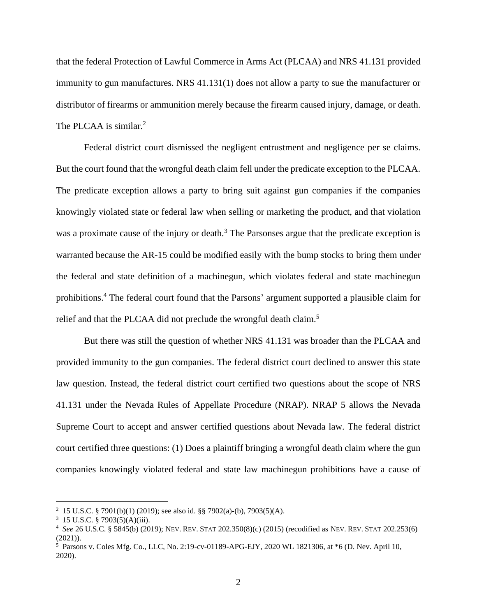that the federal Protection of Lawful Commerce in Arms Act (PLCAA) and NRS 41.131 provided immunity to gun manufactures. NRS 41.131(1) does not allow a party to sue the manufacturer or distributor of firearms or ammunition merely because the firearm caused injury, damage, or death. The PLCAA is similar.<sup>2</sup>

Federal district court dismissed the negligent entrustment and negligence per se claims. But the court found that the wrongful death claim fell under the predicate exception to the PLCAA. The predicate exception allows a party to bring suit against gun companies if the companies knowingly violated state or federal law when selling or marketing the product, and that violation was a proximate cause of the injury or death.<sup>3</sup> The Parsonses argue that the predicate exception is warranted because the AR-15 could be modified easily with the bump stocks to bring them under the federal and state definition of a machinegun, which violates federal and state machinegun prohibitions. <sup>4</sup> The federal court found that the Parsons' argument supported a plausible claim for relief and that the PLCAA did not preclude the wrongful death claim.<sup>5</sup>

But there was still the question of whether NRS 41.131 was broader than the PLCAA and provided immunity to the gun companies. The federal district court declined to answer this state law question. Instead, the federal district court certified two questions about the scope of NRS 41.131 under the Nevada Rules of Appellate Procedure (NRAP). NRAP 5 allows the Nevada Supreme Court to accept and answer certified questions about Nevada law. The federal district court certified three questions: (1) Does a plaintiff bringing a wrongful death claim where the gun companies knowingly violated federal and state law machinegun prohibitions have a cause of

<sup>&</sup>lt;sup>2</sup> 15 U.S.C. § 7901(b)(1) (2019); see also id. §§ 7902(a)-(b), 7903(5)(A).

 $3\,$  15 U.S.C. § 7903(5)(A)(iii).

<sup>4</sup> *See* 26 U.S.C. § 5845(b) (2019); NEV. REV. STAT 202.350(8)(c) (2015) (recodified as NEV. REV. STAT 202.253(6)  $(2021)$ ).

<sup>5</sup> Parsons v. Coles Mfg. Co., LLC, No. 2:19-cv-01189-APG-EJY, 2020 WL 1821306, at \*6 (D. Nev. April 10, 2020).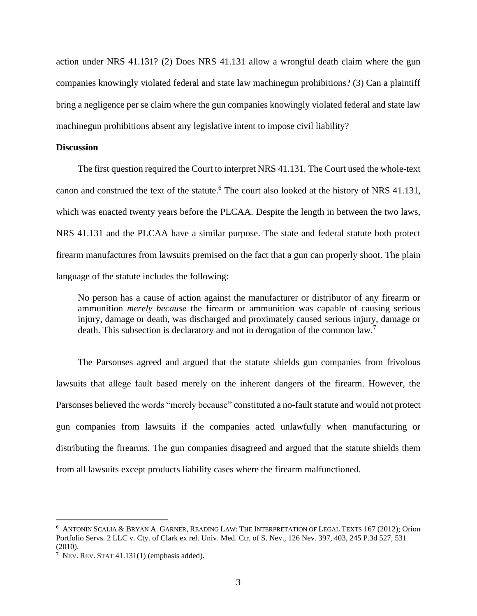action under NRS 41.131? (2) Does NRS 41.131 allow a wrongful death claim where the gun companies knowingly violated federal and state law machinegun prohibitions? (3) Can a plaintiff bring a negligence per se claim where the gun companies knowingly violated federal and state law machinegun prohibitions absent any legislative intent to impose civil liability?

#### **Discussion**

The first question required the Court to interpret NRS 41.131. The Court used the whole-text canon and construed the text of the statute. <sup>6</sup> The court also looked at the history of NRS 41.131, which was enacted twenty years before the PLCAA. Despite the length in between the two laws, NRS 41.131 and the PLCAA have a similar purpose. The state and federal statute both protect firearm manufactures from lawsuits premised on the fact that a gun can properly shoot. The plain language of the statute includes the following:

No person has a cause of action against the manufacturer or distributor of any firearm or ammunition *merely because* the firearm or ammunition was capable of causing serious injury, damage or death, was discharged and proximately caused serious injury, damage or death. This subsection is declaratory and not in derogation of the common law.<sup>7</sup>

The Parsonses agreed and argued that the statute shields gun companies from frivolous lawsuits that allege fault based merely on the inherent dangers of the firearm. However, the Parsonses believed the words "merely because" constituted a no-fault statute and would not protect gun companies from lawsuits if the companies acted unlawfully when manufacturing or distributing the firearms. The gun companies disagreed and argued that the statute shields them from all lawsuits except products liability cases where the firearm malfunctioned.

<sup>6</sup> ANTONIN SCALIA & BRYAN A. GARNER, READING LAW: THE INTERPRETATION OF LEGAL TEXTS 167 (2012); Orion Portfolio Servs. 2 LLC v. Cty. of Clark ex rel. Univ. Med. Ctr. of S. Nev., 126 Nev. 397, 403, 245 P.3d 527, 531 (2010).

 $7$  Nev. Rev. STAT 41.131(1) (emphasis added).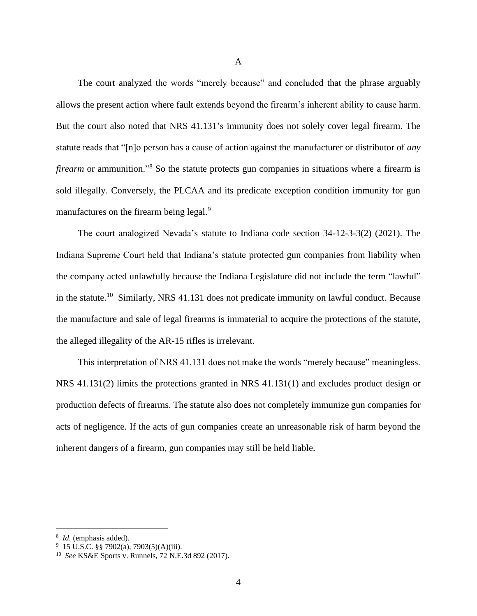The court analyzed the words "merely because" and concluded that the phrase arguably allows the present action where fault extends beyond the firearm's inherent ability to cause harm. But the court also noted that NRS 41.131's immunity does not solely cover legal firearm. The statute reads that "[n]o person has a cause of action against the manufacturer or distributor of *any firearm* or ammunition.<sup>38</sup> So the statute protects gun companies in situations where a firearm is sold illegally. Conversely, the PLCAA and its predicate exception condition immunity for gun manufactures on the firearm being legal.<sup>9</sup>

The court analogized Nevada's statute to Indiana code section 34-12-3-3(2) (2021). The Indiana Supreme Court held that Indiana's statute protected gun companies from liability when the company acted unlawfully because the Indiana Legislature did not include the term "lawful" in the statute.<sup>10</sup> Similarly, NRS 41.131 does not predicate immunity on lawful conduct. Because the manufacture and sale of legal firearms is immaterial to acquire the protections of the statute, the alleged illegality of the AR-15 rifles is irrelevant.

This interpretation of NRS 41.131 does not make the words "merely because" meaningless. NRS 41.131(2) limits the protections granted in NRS 41.131(1) and excludes product design or production defects of firearms. The statute also does not completely immunize gun companies for acts of negligence. If the acts of gun companies create an unreasonable risk of harm beyond the inherent dangers of a firearm, gun companies may still be held liable.

<sup>8</sup> *Id.* (emphasis added).

 $9\,$  15 U.S.C. §§ 7902(a), 7903(5)(A)(iii).

<sup>10</sup> *See* KS&E Sports v. Runnels, 72 N.E.3d 892 (2017).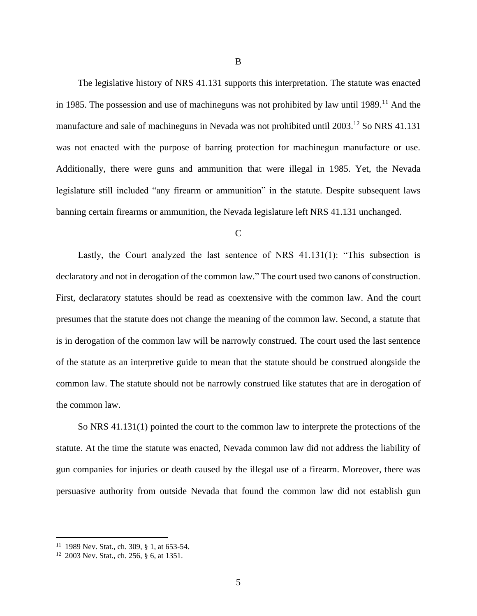The legislative history of NRS 41.131 supports this interpretation. The statute was enacted in 1985. The possession and use of machineguns was not prohibited by law until 1989.<sup>11</sup> And the manufacture and sale of machineguns in Nevada was not prohibited until  $2003$ <sup>12</sup> So NRS 41.131 was not enacted with the purpose of barring protection for machinegun manufacture or use. Additionally, there were guns and ammunition that were illegal in 1985. Yet, the Nevada

legislature still included "any firearm or ammunition" in the statute. Despite subsequent laws banning certain firearms or ammunition, the Nevada legislature left NRS 41.131 unchanged.

 $\overline{C}$ 

Lastly, the Court analyzed the last sentence of NRS 41.131(1): "This subsection is declaratory and not in derogation of the common law." The court used two canons of construction. First, declaratory statutes should be read as coextensive with the common law. And the court presumes that the statute does not change the meaning of the common law. Second, a statute that is in derogation of the common law will be narrowly construed. The court used the last sentence of the statute as an interpretive guide to mean that the statute should be construed alongside the common law. The statute should not be narrowly construed like statutes that are in derogation of the common law.

So NRS 41.131(1) pointed the court to the common law to interprete the protections of the statute. At the time the statute was enacted, Nevada common law did not address the liability of gun companies for injuries or death caused by the illegal use of a firearm. Moreover, there was persuasive authority from outside Nevada that found the common law did not establish gun

<sup>&</sup>lt;sup>11</sup> 1989 Nev. Stat., ch. 309, § 1, at 653-54.

<sup>12</sup> 2003 Nev. Stat., ch. 256, § 6, at 1351.